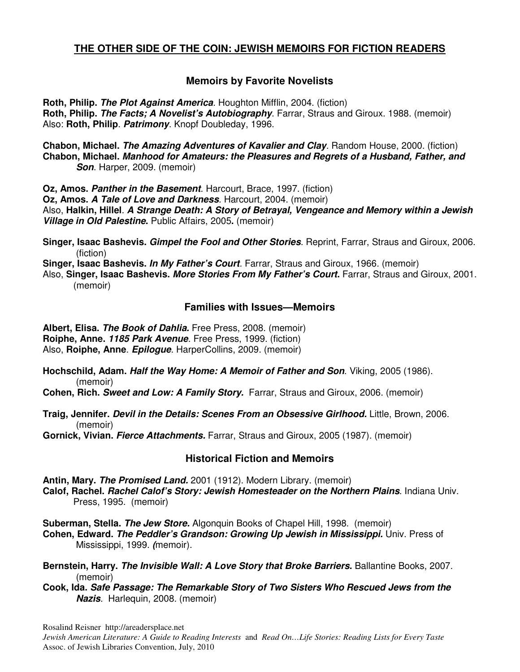# **THE OTHER SIDE OF THE COIN: JEWISH MEMOIRS FOR FICTION READERS**

## **Memoirs by Favorite Novelists**

**Roth, Philip. The Plot Against America**. Houghton Mifflin, 2004. (fiction) **Roth, Philip. The Facts; A Novelist's Autobiography**. Farrar, Straus and Giroux. 1988. (memoir) Also: **Roth, Philip**. **Patrimony**. Knopf Doubleday, 1996.

**Chabon, Michael. The Amazing Adventures of Kavalier and Clay**. Random House, 2000. (fiction) **Chabon, Michael. Manhood for Amateurs: the Pleasures and Regrets of a Husband, Father, and Son.** Harper, 2009. (memoir)

**Oz, Amos. Panther in the Basement**. Harcourt, Brace, 1997. (fiction) **Oz, Amos. A Tale of Love and Darkness**. Harcourt, 2004. (memoir) Also, **Halkin, Hillel**. **A Strange Death: A Story of Betrayal, Vengeance and Memory within a Jewish Village in Old Palestine.** Public Affairs, 2005**.** (memoir)

**Singer, Isaac Bashevis. Gimpel the Fool and Other Stories**. Reprint, Farrar, Straus and Giroux, 2006. (fiction)

**Singer, Isaac Bashevis. In My Father's Court**. Farrar, Straus and Giroux, 1966. (memoir)

Also, **Singer, Isaac Bashevis. More Stories From My Father's Court.** Farrar, Straus and Giroux, 2001. (memoir)

#### **Families with Issues—Memoirs**

**Albert, Elisa. The Book of Dahlia.** Free Press, 2008. (memoir) **Roiphe, Anne. 1185 Park Avenue**. Free Press, 1999. (fiction) Also, **Roiphe, Anne**. **Epilogue**. HarperCollins, 2009. (memoir)

**Hochschild, Adam. Half the Way Home: A Memoir of Father and Son**. Viking, 2005 (1986). (memoir)

**Cohen, Rich. Sweet and Low: A Family Story.** Farrar, Straus and Giroux, 2006. (memoir)

**Traig, Jennifer. Devil in the Details: Scenes From an Obsessive Girlhood.** Little, Brown, 2006. (memoir)

**Gornick, Vivian. Fierce Attachments.** Farrar, Straus and Giroux, 2005 (1987). (memoir)

### **Historical Fiction and Memoirs**

**Antin, Mary. The Promised Land.** 2001 (1912). Modern Library. (memoir)

**Calof, Rachel. Rachel Calof's Story: Jewish Homesteader on the Northern Plains**. Indiana Univ. Press, 1995. (memoir)

**Suberman, Stella. The Jew Store.** Algonquin Books of Chapel Hill, 1998. (memoir)

**Cohen, Edward. The Peddler's Grandson: Growing Up Jewish in Mississippi.** Univ. Press of Mississippi, 1999. **(**memoir).

**Bernstein, Harry. The Invisible Wall: A Love Story that Broke Barriers.** Ballantine Books, 2007. (memoir)

**Cook, Ida. Safe Passage: The Remarkable Story of Two Sisters Who Rescued Jews from the Nazis**. Harlequin, 2008. (memoir)

Rosalind Reisner http://areadersplace.net

*Jewish American Literature: A Guide to Reading Interests* and *Read On…Life Stories: Reading Lists for Every Taste* Assoc. of Jewish Libraries Convention, July, 2010